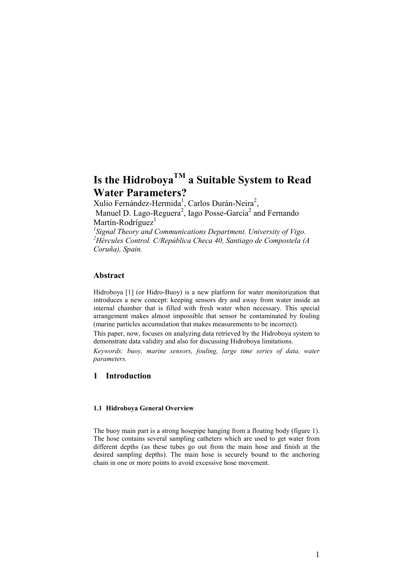# **Is the HidroboyaTM a Suitable System to Read Water Parameters?**

Xulio Fernández-Hermida<sup>1</sup>, Carlos Durán-Neira<sup>2</sup>,

Manuel D. Lago-Reguera<sup>2</sup>, Iago Posse-García<sup>2</sup> and Fernando Martín-Rodríguez $<sup>1</sup>$ </sup>

*1 Signal Theory and Communications Department. University of Vigo. <sup>2</sup>Hércules Control. C/República Checa 40, Santiago de Compostela (A Coruña), Spain.*

#### **Abstract**

Hidroboya [1] (or Hidro-Buoy) is a new platform for water monitorization that introduces a new concept: keeping sensors dry and away from water inside an internal chamber that is filled with fresh water when necessary. This special arrangement makes almost impossible that sensor be contaminated by fouling (marine particles accumulation that makes measurements to be incorrect).

This paper, now, focuses on analyzing data retrieved by the Hidroboya system to demonstrate data validity and also for discussing Hidroboya limitations.

*Keywords: buoy, marine sensors, fouling, large time series of data, water parameters.* 

## **1 Introduction**

#### **1.1 Hidroboya General Overview**

The buoy main part is a strong hosepipe hanging from a floating body (figure 1). The hose contains several sampling catheters which are used to get water from different depths (as these tubes go out from the main hose and finish at the desired sampling depths). The main hose is securely bound to the anchoring chain in one or more points to avoid excessive hose movement.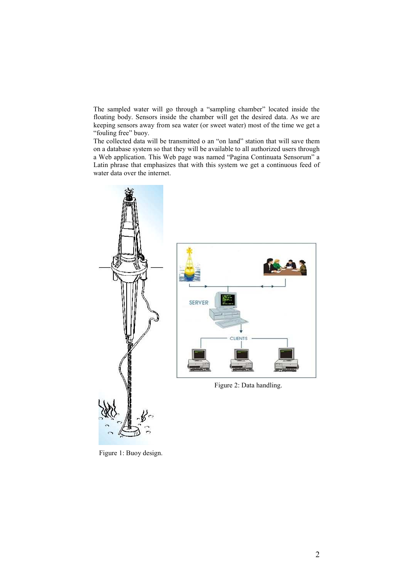The sampled water will go through a "sampling chamber" located inside the floating body. Sensors inside the chamber will get the desired data. As we are keeping sensors away from sea water (or sweet water) most of the time we get a "fouling free" buoy.

The collected data will be transmitted o an "on land" station that will save them on a database system so that they will be available to all authorized users through a Web application. This Web page was named "Pagina Continuata Sensorum" a Latin phrase that emphasizes that with this system we get a continuous feed of water data over the internet.



Figure 1: Buoy design.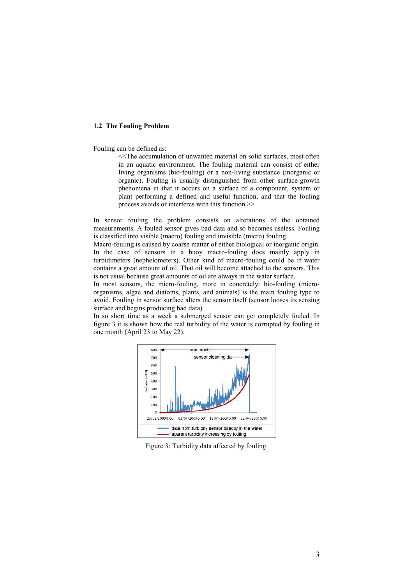#### **1.2 The Fouling Problem**

Fouling can be defined as:

<<The accumulation of unwanted material on solid surfaces, most often in an aquatic environment. The fouling material can consist of either living organisms (bio-fouling) or a non-living substance (inorganic or organic). Fouling is usually distinguished from other surface-growth phenomena in that it occurs on a surface of a component, system or plant performing a defined and useful function, and that the fouling process avoids or interferes with this function.>>

In sensor fouling the problem consists on alterations of the obtained measurements. A fouled sensor gives bad data and so becomes useless. Fouling is classified into visible (macro) fouling and invisible (micro) fouling.

Macro-fouling is caused by coarse matter of either biological or inorganic origin. In the case of sensors in a buoy macro-fouling does mainly apply in turbidimeters (nephelometers). Other kind of macro-fouling could be if water contains a great amount of oil. That oil will become attached to the sensors. This is not usual because great amounts of oil are always in the water surface.

In most sensors, the micro-fouling, more in concretely: bio-fouling (microorganisms, algae and diatoms, plants, and animals) is the main fouling type to avoid. Fouling in sensor surface alters the sensor itself (sensor looses its sensing surface and begins producing bad data).

In so short time as a week a submerged sensor can get completely fouled. In figure 3 it is shown how the real turbidity of the water is corrupted by fouling in one month (April 23 to May 22).



Figure 3: Turbidity data affected by fouling.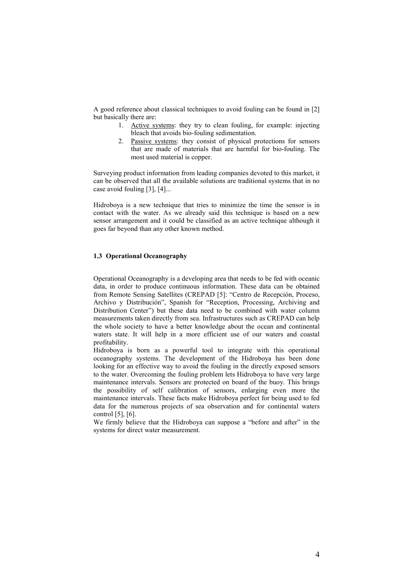A good reference about classical techniques to avoid fouling can be found in [2] but basically there are:

- 1. Active systems: they try to clean fouling, for example: injecting bleach that avoids bio-fouling sedimentation.
- 2. Passive systems: they consist of physical protections for sensors that are made of materials that are harmful for bio-fouling. The most used material is copper.

Surveying product information from leading companies devoted to this market, it can be observed that all the available solutions are traditional systems that in no case avoid fouling [3], [4]...

Hidroboya is a new technique that tries to minimize the time the sensor is in contact with the water. As we already said this technique is based on a new sensor arrangement and it could be classified as an active technique although it goes far beyond than any other known method.

#### **1.3 Operational Oceanography**

Operational Oceanography is a developing area that needs to be fed with oceanic data, in order to produce continuous information. These data can be obtained from Remote Sensing Satellites (CREPAD [5]: "Centro de Recepción, Proceso, Archivo y Distribución", Spanish for "Reception, Processing, Archiving and Distribution Center") but these data need to be combined with water column measurements taken directly from sea. Infrastructures such as CREPAD can help the whole society to have a better knowledge about the ocean and continental waters state. It will help in a more efficient use of our waters and coastal profitability.

Hidroboya is born as a powerful tool to integrate with this operational oceanography systems. The development of the Hidroboya has been done looking for an effective way to avoid the fouling in the directly exposed sensors to the water. Overcoming the fouling problem lets Hidroboya to have very large maintenance intervals. Sensors are protected on board of the buoy. This brings the possibility of self calibration of sensors, enlarging even more the maintenance intervals. These facts make Hidroboya perfect for being used to fed data for the numerous projects of sea observation and for continental waters control [5], [6].

We firmly believe that the Hidroboya can suppose a "before and after" in the systems for direct water measurement.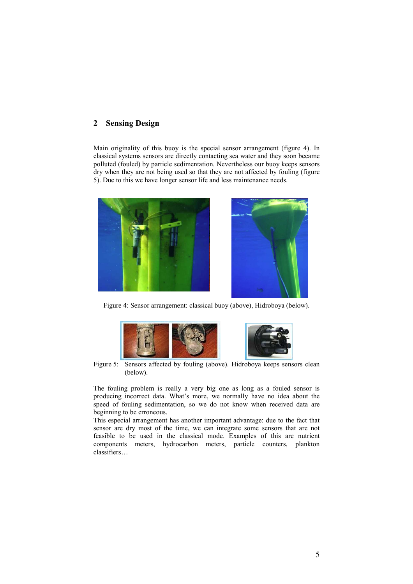## **2 Sensing Design**

Main originality of this buoy is the special sensor arrangement (figure 4). In classical systems sensors are directly contacting sea water and they soon became polluted (fouled) by particle sedimentation. Nevertheless our buoy keeps sensors dry when they are not being used so that they are not affected by fouling (figure 5). Due to this we have longer sensor life and less maintenance needs.



Figure 4: Sensor arrangement: classical buoy (above), Hidroboya (below).



Figure 5: Sensors affected by fouling (above). Hidroboya keeps sensors clean (below).

The fouling problem is really a very big one as long as a fouled sensor is producing incorrect data. What's more, we normally have no idea about the speed of fouling sedimentation, so we do not know when received data are beginning to be erroneous.

This especial arrangement has another important advantage: due to the fact that sensor are dry most of the time, we can integrate some sensors that are not feasible to be used in the classical mode. Examples of this are nutrient components meters, hydrocarbon meters, particle counters, plankton classifiers…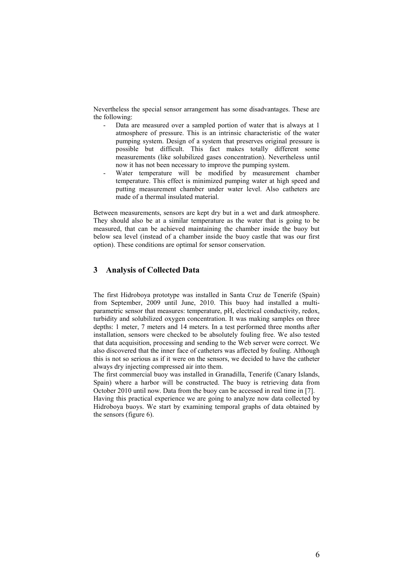Nevertheless the special sensor arrangement has some disadvantages. These are the following:

- Data are measured over a sampled portion of water that is always at 1 atmosphere of pressure. This is an intrinsic characteristic of the water pumping system. Design of a system that preserves original pressure is possible but difficult. This fact makes totally different some measurements (like solubilized gases concentration). Nevertheless until now it has not been necessary to improve the pumping system.
- Water temperature will be modified by measurement chamber temperature. This effect is minimized pumping water at high speed and putting measurement chamber under water level. Also catheters are made of a thermal insulated material.

Between measurements, sensors are kept dry but in a wet and dark atmosphere. They should also be at a similar temperature as the water that is going to be measured, that can be achieved maintaining the chamber inside the buoy but below sea level (instead of a chamber inside the buoy castle that was our first option). These conditions are optimal for sensor conservation.

## **3 Analysis of Collected Data**

The first Hidroboya prototype was installed in Santa Cruz de Tenerife (Spain) from September, 2009 until June, 2010. This buoy had installed a multiparametric sensor that measures: temperature, pH, electrical conductivity, redox, turbidity and solubilized oxygen concentration. It was making samples on three depths: 1 meter, 7 meters and 14 meters. In a test performed three months after installation, sensors were checked to be absolutely fouling free. We also tested that data acquisition, processing and sending to the Web server were correct. We also discovered that the inner face of catheters was affected by fouling. Although this is not so serious as if it were on the sensors, we decided to have the catheter always dry injecting compressed air into them.

The first commercial buoy was installed in Granadilla, Tenerife (Canary Islands, Spain) where a harbor will be constructed. The buoy is retrieving data from October 2010 until now. Data from the buoy can be accessed in real time in [7].

Having this practical experience we are going to analyze now data collected by Hidroboya buoys. We start by examining temporal graphs of data obtained by the sensors (figure 6).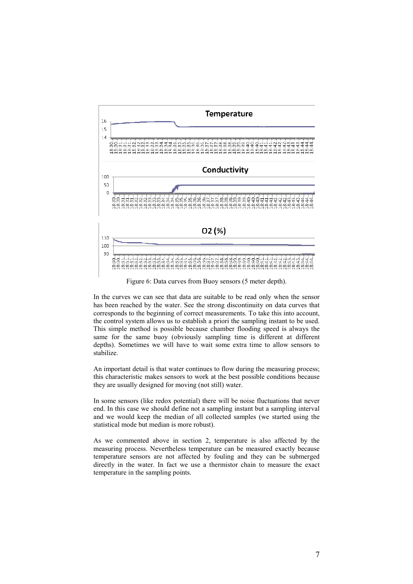

Figure 6: Data curves from Buoy sensors (5 meter depth).

In the curves we can see that data are suitable to be read only when the sensor has been reached by the water. See the strong discontinuity on data curves that corresponds to the beginning of correct measurements. To take this into account, the control system allows us to establish a priori the sampling instant to be used. This simple method is possible because chamber flooding speed is always the same for the same buoy (obviously sampling time is different at different depths). Sometimes we will have to wait some extra time to allow sensors to stabilize.

An important detail is that water continues to flow during the measuring process; this characteristic makes sensors to work at the best possible conditions because they are usually designed for moving (not still) water.

In some sensors (like redox potential) there will be noise fluctuations that never end. In this case we should define not a sampling instant but a sampling interval and we would keep the median of all collected samples (we started using the statistical mode but median is more robust).

As we commented above in section 2, temperature is also affected by the measuring process. Nevertheless temperature can be measured exactly because temperature sensors are not affected by fouling and they can be submerged directly in the water. In fact we use a thermistor chain to measure the exact temperature in the sampling points.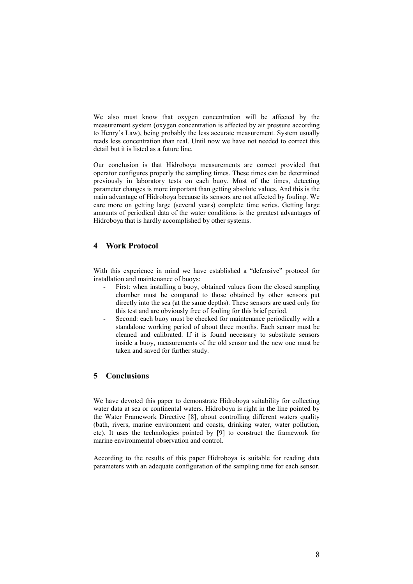We also must know that oxygen concentration will be affected by the measurement system (oxygen concentration is affected by air pressure according to Henry's Law), being probably the less accurate measurement. System usually reads less concentration than real. Until now we have not needed to correct this detail but it is listed as a future line.

Our conclusion is that Hidroboya measurements are correct provided that operator configures properly the sampling times. These times can be determined previously in laboratory tests on each buoy. Most of the times, detecting parameter changes is more important than getting absolute values. And this is the main advantage of Hidroboya because its sensors are not affected by fouling. We care more on getting large (several years) complete time series. Getting large amounts of periodical data of the water conditions is the greatest advantages of Hidroboya that is hardly accomplished by other systems.

### **4 Work Protocol**

With this experience in mind we have established a "defensive" protocol for installation and maintenance of buoys:

- First: when installing a buoy, obtained values from the closed sampling chamber must be compared to those obtained by other sensors put directly into the sea (at the same depths). These sensors are used only for this test and are obviously free of fouling for this brief period.
- Second: each buoy must be checked for maintenance periodically with a standalone working period of about three months. Each sensor must be cleaned and calibrated. If it is found necessary to substitute sensors inside a buoy, measurements of the old sensor and the new one must be taken and saved for further study.

## **5 Conclusions**

We have devoted this paper to demonstrate Hidroboya suitability for collecting water data at sea or continental waters. Hidroboya is right in the line pointed by the Water Framework Directive [8], about controlling different waters quality (bath, rivers, marine environment and coasts, drinking water, water pollution, etc). It uses the technologies pointed by [9] to construct the framework for marine environmental observation and control.

According to the results of this paper Hidroboya is suitable for reading data parameters with an adequate configuration of the sampling time for each sensor.